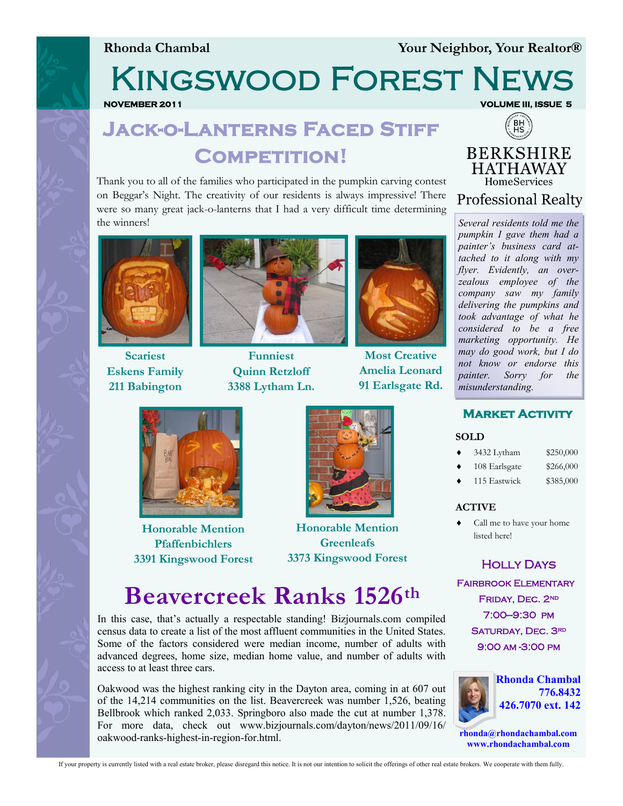**Rhonda Chambal Your Neighbor, Your Realtor®**

Kingswood Forest News

**NOVEMBER 2011 VOLUME III, ISSUE 5** 

## **Jack-o-Lanterns Faced Stiff Competition!**

Thank you to all of the families who participated in the pumpkin carving contest on Beggar's Night. The creativity of our residents is always impressive! There were so many great jack-o-lanterns that I had a very difficult time determining the winners!



**Scariest Eskens Family 211 Babington** 



**Funniest Quinn Retzloff 3388 Lytham Ln.**



**Most Creative Amelia Leonard 91 Earlsgate Rd.**



**Professional Realty** 

*Several residents told me the pumpkin I gave them had a painter's business card attached to it along with my flyer. Evidently, an overzealous employee of the company saw my family delivering the pumpkins and took advantage of what he considered to be a free marketing opportunity. He may do good work, but I do not know or endorse this painter. Sorry for the misunderstanding.*

**Market Activity** 



**Honorable Mention Pfaffenbichlers 3391 Kingswood Forest** 



**Honorable Mention Greenleafs 3373 Kingswood Forest** 

# **Beavercreek Ranks 1526th**

In this case, that's actually a respectable standing! Bizjournals.com compiled census data to create a list of the most affluent communities in the United States. Some of the factors considered were median income, number of adults with advanced degrees, home size, median home value, and number of adults with access to at least three cars.

Oakwood was the highest ranking city in the Dayton area, coming in at 607 out of the 14,214 communities on the list. Beavercreek was number 1,526, beating Bellbrook which ranked 2,033. Springboro also made the cut at number 1,378. For more data, check out www.bizjournals.com/dayton/news/2011/09/16/ oakwood-ranks-highest-in-region-for.html.



 3432 Lytham \$250,000 108 Earlsgate \$266,000 115 Eastwick \$385,000 **ACTIVE**

**SOLD**

 Call me to have your home listed here!

Holly Days

**FAIRBROOK ELEMENTARY** FRIDAY, DEC. 2ND 7:00—9:30 pm SATURDAY, DEC. 3RD 9:00 am -3:00 pm



**rhonda@rhondachambal.com www.rhondachambal.com**